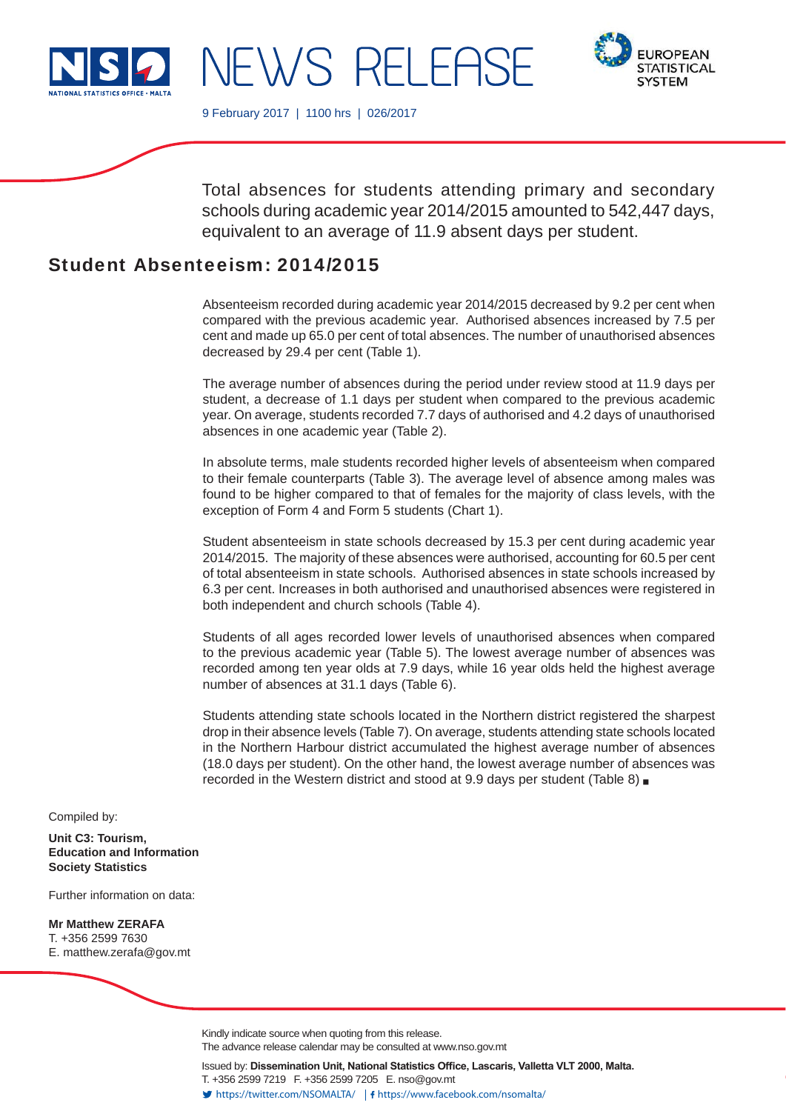

NEWS RELEAS



9 February 2017 | 1100 hrs | 026/2017

Total absences for students attending primary and secondary schools during academic year 2014/2015 amounted to 542,447 days, equivalent to an average of 11.9 absent days per student.

# Student Absenteeism: 2014/2015

Absenteeism recorded during academic year 2014/2015 decreased by 9.2 per cent when compared with the previous academic year. Authorised absences increased by 7.5 per cent and made up 65.0 per cent of total absences. The number of unauthorised absences decreased by 29.4 per cent (Table 1).

The average number of absences during the period under review stood at 11.9 days per student, a decrease of 1.1 days per student when compared to the previous academic year. On average, students recorded 7.7 days of authorised and 4.2 days of unauthorised absences in one academic year (Table 2).

In absolute terms, male students recorded higher levels of absenteeism when compared to their female counterparts (Table 3). The average level of absence among males was found to be higher compared to that of females for the majority of class levels, with the exception of Form 4 and Form 5 students (Chart 1).

Student absenteeism in state schools decreased by 15.3 per cent during academic year 2014/2015. The majority of these absences were authorised, accounting for 60.5 per cent of total absenteeism in state schools. Authorised absences in state schools increased by 6.3 per cent. Increases in both authorised and unauthorised absences were registered in both independent and church schools (Table 4).

Students of all ages recorded lower levels of unauthorised absences when compared to the previous academic year (Table 5). The lowest average number of absences was recorded among ten year olds at 7.9 days, while 16 year olds held the highest average number of absences at 31.1 days (Table 6).

Students attending state schools located in the Northern district registered the sharpest drop in their absence levels (Table 7). On average, students attending state schools located in the Northern Harbour district accumulated the highest average number of absences (18.0 days per student). On the other hand, the lowest average number of absences was recorded in the Western district and stood at 9.9 days per student (Table 8)

Compiled by:

**Unit C3: Tourism, Education and Information Society Statistics**

Further information on data:

**Mr Matthew ZERAFA** T. +356 2599 7630 E. matthew.zerafa@gov.mt

> Kindly indicate source when quoting from this release. The advance release calendar may be consulted at www.nso.gov.mt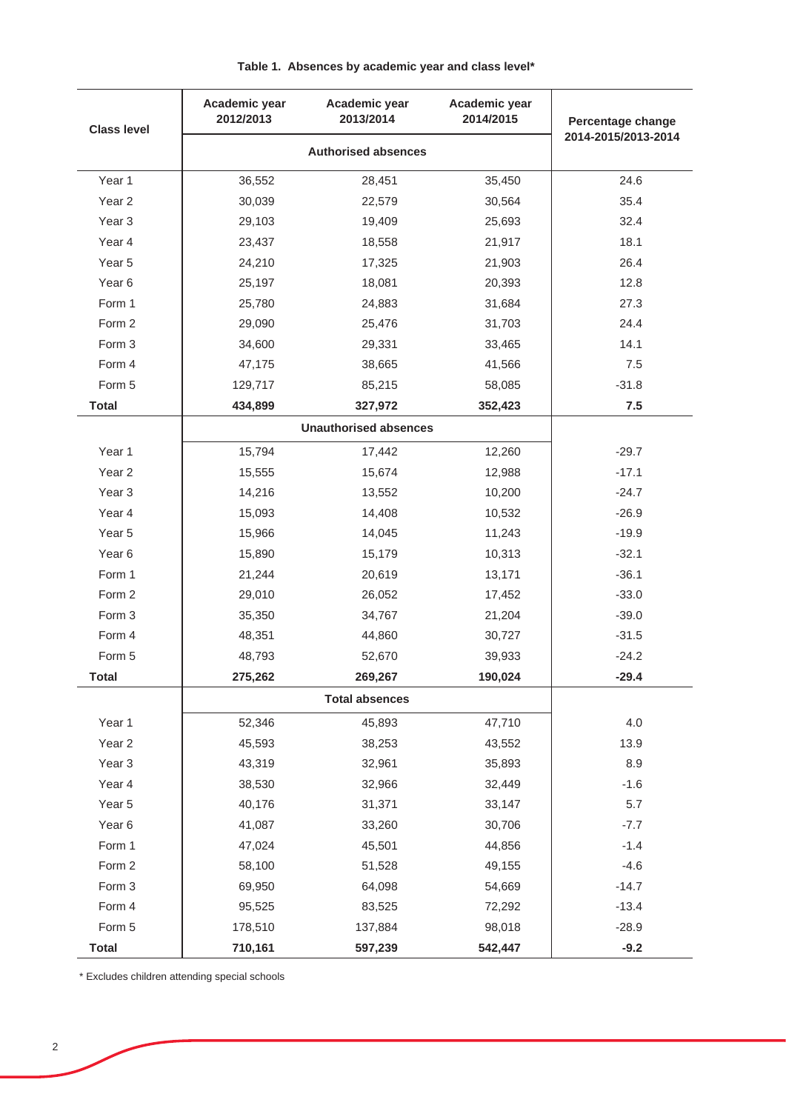| <b>Class level</b> | Academic year<br>2012/2013 | Academic year<br>2013/2014   | Academic year<br>2014/2015 | Percentage change   |
|--------------------|----------------------------|------------------------------|----------------------------|---------------------|
|                    |                            | <b>Authorised absences</b>   |                            | 2014-2015/2013-2014 |
| Year 1             | 36,552                     | 28,451                       | 35,450                     | 24.6                |
| Year <sub>2</sub>  | 30,039                     | 22,579                       | 30,564                     | 35.4                |
| Year <sub>3</sub>  | 29,103                     | 19,409                       | 25,693                     | 32.4                |
| Year 4             | 23,437                     | 18,558                       | 21,917                     | 18.1                |
| Year 5             | 24,210                     | 17,325                       | 21,903                     | 26.4                |
| Year 6             | 25,197                     | 18,081                       | 20,393                     | 12.8                |
| Form 1             | 25,780                     | 24,883                       | 31,684                     | 27.3                |
| Form 2             | 29,090                     | 25,476                       | 31,703                     | 24.4                |
| Form 3             | 34,600                     | 29,331                       | 33,465                     | 14.1                |
| Form 4             | 47,175                     | 38,665                       | 41,566                     | 7.5                 |
| Form 5             | 129,717                    | 85,215                       | 58,085                     | $-31.8$             |
| <b>Total</b>       | 434,899                    | 327,972                      | 352,423                    | 7.5                 |
|                    |                            | <b>Unauthorised absences</b> |                            |                     |
| Year 1             | 15,794                     | 17,442                       | 12,260                     | $-29.7$             |
| Year <sub>2</sub>  | 15,555                     | 15,674                       | 12,988                     | $-17.1$             |
| Year <sub>3</sub>  | 14,216                     | 13,552                       | 10,200                     | $-24.7$             |
| Year 4             | 15,093                     | 14,408                       | 10,532                     | $-26.9$             |
| Year 5             | 15,966                     | 14,045                       | 11,243                     | $-19.9$             |
| Year 6             | 15,890                     | 15,179                       | 10,313                     | $-32.1$             |
| Form 1             | 21,244                     | 20,619                       | 13,171                     | $-36.1$             |
| Form 2             | 29,010                     | 26,052                       | 17,452                     | $-33.0$             |
| Form 3             | 35,350                     | 34,767                       | 21,204                     | $-39.0$             |
| Form 4             | 48,351                     | 44,860                       | 30,727                     | $-31.5$             |
| Form 5             | 48,793                     | 52,670                       | 39,933                     | $-24.2$             |
| <b>Total</b>       | 275,262                    | 269,267                      | 190,024                    | $-29.4$             |
|                    |                            |                              |                            |                     |
| Year 1             | 52,346                     | 45,893                       | 47,710                     | 4.0                 |
| Year <sub>2</sub>  | 45,593                     | 38,253                       | 43,552                     | 13.9                |
| Year <sub>3</sub>  | 43,319                     | 32,961                       | 35,893                     | 8.9                 |
| Year 4             | 38,530                     | 32,966                       | 32,449                     | $-1.6$              |
| Year 5             | 40,176                     | 31,371                       | 33,147                     | 5.7                 |
| Year <sub>6</sub>  | 41,087                     | 33,260                       | 30,706                     | $-7.7$              |
| Form 1             | 47,024                     | 45,501                       | 44,856                     | $-1.4$              |
| Form 2             | 58,100                     | 51,528                       | 49,155                     | $-4.6$              |
| Form 3             | 69,950                     | 64,098                       | 54,669                     | $-14.7$             |
| Form 4             | 95,525                     | 83,525                       | 72,292                     | $-13.4$             |
| Form 5             | 178,510                    | 137,884                      | 98,018                     | $-28.9$             |
| <b>Total</b>       | 710,161                    | 597,239                      | 542,447                    | $-9.2$              |

## **Table 1. Absences by academic year and class level\***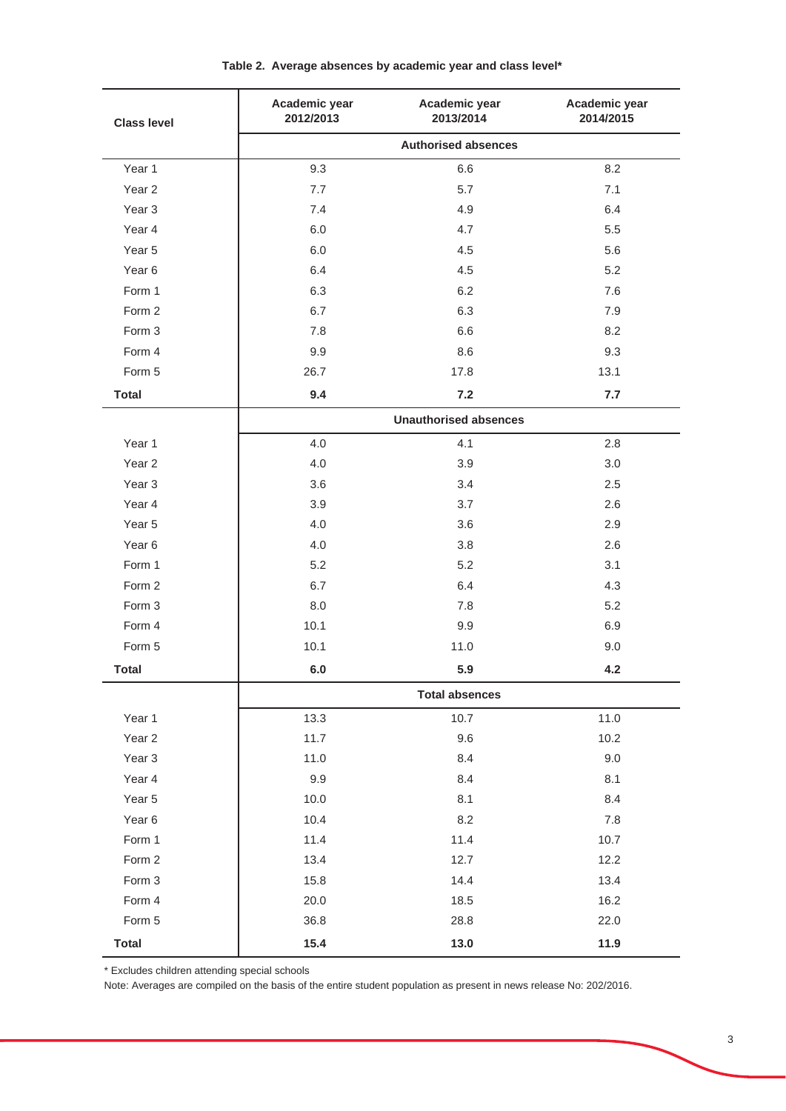| <b>Class level</b> | Academic year<br>2012/2013 | Academic year<br>2013/2014   | Academic year<br>2014/2015 |  |
|--------------------|----------------------------|------------------------------|----------------------------|--|
|                    |                            | <b>Authorised absences</b>   |                            |  |
| Year 1             | 9.3                        | 6.6                          | 8.2                        |  |
| Year <sub>2</sub>  | 7.7                        | 5.7                          | 7.1                        |  |
| Year <sub>3</sub>  | 7.4                        | 4.9                          | 6.4                        |  |
| Year 4             | 6.0                        | 4.7                          | 5.5                        |  |
| Year 5             | 6.0                        | 4.5                          | 5.6                        |  |
| Year <sub>6</sub>  | 6.4                        | 4.5                          | 5.2                        |  |
| Form 1             | 6.3                        | 6.2                          | 7.6                        |  |
| Form 2             | 6.7                        | 6.3                          | 7.9                        |  |
| Form 3             | 7.8                        | 6.6                          | 8.2                        |  |
| Form 4             | 9.9                        | 8.6                          | 9.3                        |  |
| Form 5             | 26.7                       | 17.8                         | 13.1                       |  |
| <b>Total</b>       | 9.4                        | 7.2                          | 7.7                        |  |
|                    |                            | <b>Unauthorised absences</b> |                            |  |
| Year 1             | 4.0                        | 4.1                          | 2.8                        |  |
| Year <sub>2</sub>  | 4.0                        | 3.9                          | 3.0                        |  |
| Year <sub>3</sub>  | 3.6                        | 3.4                          | 2.5                        |  |
| Year 4             | 3.9                        | 3.7                          | 2.6                        |  |
| Year 5             | 4.0                        | 3.6                          | 2.9                        |  |
| Year <sub>6</sub>  | 4.0                        | 3.8                          | 2.6                        |  |
| Form 1             | 5.2                        | 5.2                          | 3.1                        |  |
| Form 2             | 6.7                        | 6.4                          | 4.3                        |  |
| Form 3             | 8.0                        | 7.8                          | 5.2                        |  |
| Form 4             | 10.1                       | 9.9                          | 6.9                        |  |
| Form 5             | 10.1                       | 11.0                         | 9.0                        |  |
| <b>Total</b>       | $6.0\,$                    | 5.9                          | 4.2                        |  |
|                    |                            | <b>Total absences</b>        |                            |  |
| Year 1             | 13.3                       | 10.7                         | 11.0                       |  |
| Year <sub>2</sub>  | 11.7                       | 9.6                          | 10.2                       |  |
| Year <sub>3</sub>  | 11.0                       | 8.4                          | 9.0                        |  |
| Year 4             | 9.9                        | 8.4                          | 8.1                        |  |
| Year 5             | 10.0                       | 8.1                          | 8.4                        |  |
| Year <sub>6</sub>  | 10.4                       | 8.2                          | 7.8                        |  |
| Form 1             | 11.4                       | 11.4                         | 10.7                       |  |
| Form 2             | 13.4                       | 12.7                         | 12.2                       |  |
| Form 3             | 15.8                       | 14.4                         | 13.4                       |  |
| Form 4             | 20.0                       | 18.5                         | 16.2                       |  |
| Form 5             | 36.8                       | 28.8                         | 22.0                       |  |
| <b>Total</b>       | 15.4                       | 13.0                         | 11.9                       |  |

## **Table 2. Average absences by academic year and class level\***

\* Excludes children attending special schools

Note: Averages are compiled on the basis of the entire student population as present in news release No: 202/2016.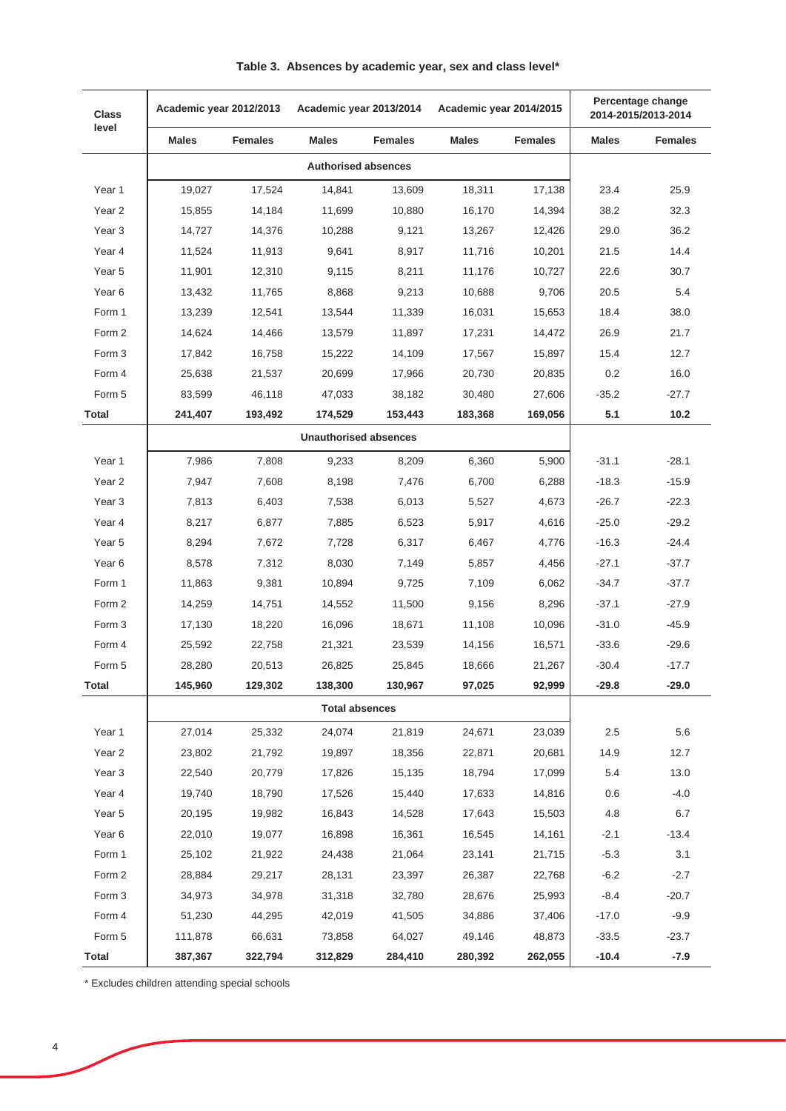| <b>Class</b>      | Academic year 2012/2013 | Academic year 2013/2014 |                              |                | Academic year 2014/2015 |                | Percentage change<br>2014-2015/2013-2014 |                |
|-------------------|-------------------------|-------------------------|------------------------------|----------------|-------------------------|----------------|------------------------------------------|----------------|
| level             | <b>Males</b>            | <b>Females</b>          | <b>Males</b>                 | <b>Females</b> | <b>Males</b>            | <b>Females</b> | <b>Males</b>                             | <b>Females</b> |
|                   |                         |                         | <b>Authorised absences</b>   |                |                         |                |                                          |                |
| Year 1            | 19,027                  | 17,524                  | 14,841                       | 13,609         | 18,311                  | 17,138         | 23.4                                     | 25.9           |
| Year <sub>2</sub> | 15,855                  | 14,184                  | 11,699                       | 10,880         | 16,170                  | 14,394         | 38.2                                     | 32.3           |
| Year <sub>3</sub> | 14,727                  | 14,376                  | 10,288                       | 9,121          | 13,267                  | 12,426         | 29.0                                     | 36.2           |
| Year 4            | 11,524                  | 11,913                  | 9,641                        | 8,917          | 11,716                  | 10,201         | 21.5                                     | 14.4           |
| Year 5            | 11,901                  | 12,310                  | 9,115                        | 8,211          | 11,176                  | 10,727         | 22.6                                     | 30.7           |
| Year <sub>6</sub> | 13,432                  | 11,765                  | 8,868                        | 9,213          | 10,688                  | 9,706          | 20.5                                     | 5.4            |
| Form 1            | 13,239                  | 12,541                  | 13,544                       | 11,339         | 16,031                  | 15,653         | 18.4                                     | 38.0           |
| Form 2            | 14,624                  | 14,466                  | 13,579                       | 11,897         | 17,231                  | 14,472         | 26.9                                     | 21.7           |
| Form 3            | 17,842                  | 16,758                  | 15,222                       | 14,109         | 17,567                  | 15,897         | 15.4                                     | 12.7           |
| Form 4            | 25,638                  | 21,537                  | 20,699                       | 17,966         | 20,730                  | 20,835         | 0.2                                      | 16.0           |
| Form 5            | 83,599                  | 46,118                  | 47,033                       | 38,182         | 30,480                  | 27,606         | $-35.2$                                  | -27.7          |
| Total             | 241,407                 | 193,492                 | 174,529                      | 153,443        | 183,368                 | 169,056        | 5.1                                      | 10.2           |
|                   |                         |                         | <b>Unauthorised absences</b> |                |                         |                |                                          |                |
| Year 1            | 7,986                   | 7,808                   | 9,233                        | 8,209          | 6,360                   | 5,900          | $-31.1$                                  | $-28.1$        |
| Year <sub>2</sub> | 7,947                   | 7,608                   | 8,198                        | 7,476          | 6,700                   | 6,288          | $-18.3$                                  | $-15.9$        |
| Year <sub>3</sub> | 7,813                   | 6,403                   | 7,538                        | 6,013          | 5,527                   | 4,673          | $-26.7$                                  | $-22.3$        |
| Year 4            | 8,217                   | 6,877                   | 7,885                        | 6,523          | 5,917                   | 4,616          | $-25.0$                                  | $-29.2$        |
| Year 5            | 8,294                   | 7,672                   | 7,728                        | 6,317          | 6,467                   | 4,776          | $-16.3$                                  | $-24.4$        |
| Year <sub>6</sub> | 8,578                   | 7,312                   | 8,030                        | 7,149          | 5,857                   | 4,456          | $-27.1$                                  | $-37.7$        |
| Form 1            | 11,863                  | 9,381                   | 10,894                       | 9,725          | 7,109                   | 6,062          | $-34.7$                                  | $-37.7$        |
| Form 2            | 14,259                  | 14,751                  | 14,552                       | 11,500         | 9,156                   | 8,296          | $-37.1$                                  | $-27.9$        |
| Form 3            | 17,130                  | 18,220                  | 16,096                       | 18,671         | 11,108                  | 10,096         | $-31.0$                                  | $-45.9$        |
| Form 4            | 25,592                  | 22,758                  | 21,321                       | 23,539         | 14,156                  | 16,571         | $-33.6$                                  | $-29.6$        |
| Form 5            | 28,280                  | 20,513                  | 26,825                       | 25,845         | 18,666                  | 21,267         | $-30.4$                                  | $-17.7$        |
| Total             | 145,960                 | 129,302                 | 138,300                      | 130,967        | 97,025                  | 92,999         | $-29.8$                                  | $-29.0$        |
|                   |                         |                         | <b>Total absences</b>        |                |                         |                |                                          |                |
| Year 1            | 27,014                  | 25,332                  | 24,074                       | 21,819         | 24,671                  | 23,039         | 2.5                                      | 5.6            |
| Year <sub>2</sub> | 23,802                  | 21,792                  | 19,897                       | 18,356         | 22,871                  | 20,681         | 14.9                                     | 12.7           |
| Year <sub>3</sub> | 22,540                  | 20,779                  | 17,826                       | 15,135         | 18,794                  | 17,099         | 5.4                                      | 13.0           |
| Year 4            | 19,740                  | 18,790                  | 17,526                       | 15,440         | 17,633                  | 14,816         | 0.6                                      | $-4.0$         |
| Year 5            | 20,195                  | 19,982                  | 16,843                       | 14,528         | 17,643                  | 15,503         | 4.8                                      | 6.7            |
| Year <sub>6</sub> | 22,010                  | 19,077                  | 16,898                       | 16,361         | 16,545                  | 14,161         | $-2.1$                                   | $-13.4$        |
| Form 1            | 25,102                  | 21,922                  | 24,438                       | 21,064         | 23,141                  | 21,715         | $-5.3$                                   | 3.1            |
| Form 2            | 28,884                  | 29,217                  | 28,131                       | 23,397         | 26,387                  | 22,768         | $-6.2$                                   | $-2.7$         |
| Form 3            | 34,973                  | 34,978                  | 31,318                       | 32,780         | 28,676                  | 25,993         | $-8.4$                                   | $-20.7$        |
| Form 4            | 51,230                  | 44,295                  | 42,019                       | 41,505         | 34,886                  | 37,406         | $-17.0$                                  | $-9.9$         |
| Form 5            | 111,878                 | 66,631                  | 73,858                       | 64,027         | 49,146                  | 48,873         | $-33.5$                                  | $-23.7$        |
| <b>Total</b>      | 387,367                 | 322,794                 | 312,829                      | 284,410        | 280,392                 | 262,055        | $-10.4$                                  | $-7.9$         |

| Table 3. Absences by academic year, sex and class level* |  |
|----------------------------------------------------------|--|
|----------------------------------------------------------|--|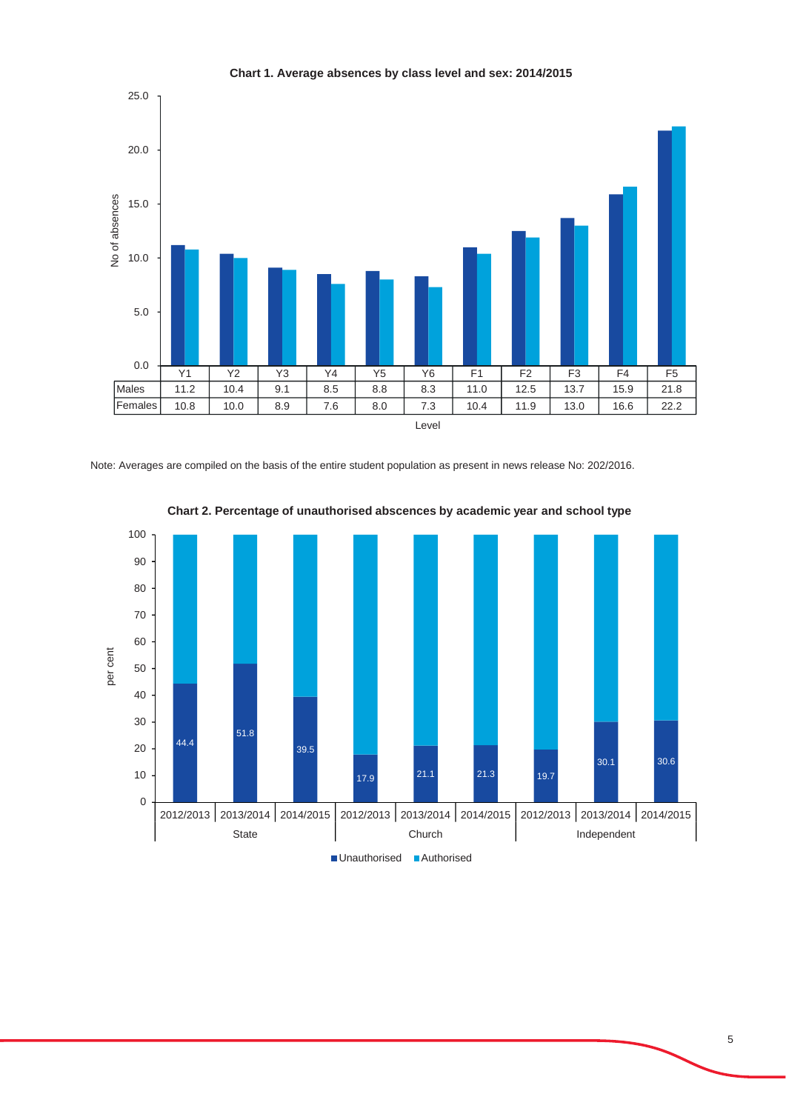

**Chart 1. Average absences by class level and sex: 2014/2015**

Note: Averages are compiled on the basis of the entire student population as present in news release No: 202/2016.



**Chart 2. Percentage of unauthorised abscences by academic year and school type**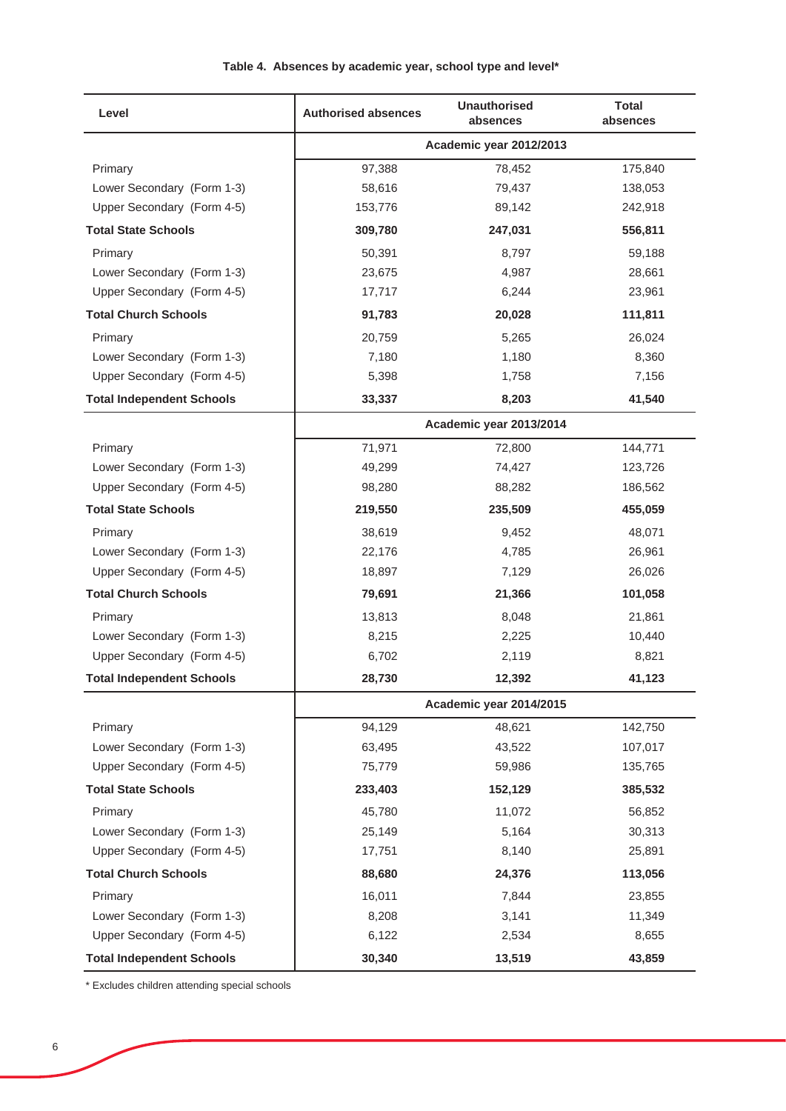| Level                            | <b>Authorised absences</b> | <b>Unauthorised</b><br>absences | <b>Total</b><br>absences |  |  |
|----------------------------------|----------------------------|---------------------------------|--------------------------|--|--|
|                                  | Academic year 2012/2013    |                                 |                          |  |  |
| Primary                          | 97,388                     | 78,452                          | 175,840                  |  |  |
| Lower Secondary (Form 1-3)       | 58,616                     | 79,437                          | 138,053                  |  |  |
| Upper Secondary (Form 4-5)       | 153,776                    | 89,142                          | 242,918                  |  |  |
| <b>Total State Schools</b>       | 309,780                    | 247,031                         | 556,811                  |  |  |
| Primary                          | 50,391                     | 8,797                           | 59,188                   |  |  |
| Lower Secondary (Form 1-3)       | 23,675                     | 4,987                           | 28,661                   |  |  |
| Upper Secondary (Form 4-5)       | 17,717                     | 6,244                           | 23,961                   |  |  |
| <b>Total Church Schools</b>      | 91,783                     | 20,028                          | 111,811                  |  |  |
| Primary                          | 20,759                     | 5,265                           | 26,024                   |  |  |
| Lower Secondary (Form 1-3)       | 7,180                      | 1,180                           | 8,360                    |  |  |
| Upper Secondary (Form 4-5)       | 5,398                      | 1,758                           | 7,156                    |  |  |
| <b>Total Independent Schools</b> | 33,337                     | 8,203                           | 41,540                   |  |  |
|                                  |                            | Academic year 2013/2014         |                          |  |  |
| Primary                          | 71,971                     | 72,800                          | 144,771                  |  |  |
| Lower Secondary (Form 1-3)       | 49,299                     | 74,427                          | 123,726                  |  |  |
| Upper Secondary (Form 4-5)       | 98,280                     | 88,282                          | 186,562                  |  |  |
| <b>Total State Schools</b>       | 219,550                    | 235,509                         | 455,059                  |  |  |
| Primary                          | 38,619                     | 9,452                           | 48,071                   |  |  |
| Lower Secondary (Form 1-3)       | 22,176                     | 4,785                           | 26,961                   |  |  |
| Upper Secondary (Form 4-5)       | 18,897                     | 7,129                           | 26,026                   |  |  |
| <b>Total Church Schools</b>      | 79,691                     | 21,366                          | 101,058                  |  |  |
| Primary                          | 13,813                     | 8,048                           | 21,861                   |  |  |
| Lower Secondary (Form 1-3)       | 8,215                      | 2,225                           | 10,440                   |  |  |
| Upper Secondary (Form 4-5)       | 6,702                      | 2,119                           | 8,821                    |  |  |
| <b>Total Independent Schools</b> | 28,730                     | 12,392                          | 41,123                   |  |  |
|                                  |                            | Academic year 2014/2015         |                          |  |  |
| Primary                          | 94,129                     | 48,621                          | 142,750                  |  |  |
| Lower Secondary (Form 1-3)       | 63,495                     | 43,522                          | 107,017                  |  |  |
| Upper Secondary (Form 4-5)       | 75,779                     | 59,986                          | 135,765                  |  |  |
| <b>Total State Schools</b>       | 233,403                    | 152,129                         | 385,532                  |  |  |
| Primary                          | 45,780                     | 11,072                          | 56,852                   |  |  |
| Lower Secondary (Form 1-3)       | 25,149                     | 5,164                           | 30,313                   |  |  |
| Upper Secondary (Form 4-5)       | 17,751                     | 8,140                           | 25,891                   |  |  |
| <b>Total Church Schools</b>      | 88,680                     | 24,376                          | 113,056                  |  |  |
| Primary                          | 16,011                     | 7,844                           | 23,855                   |  |  |
| Lower Secondary (Form 1-3)       | 8,208                      | 3,141                           | 11,349                   |  |  |
| Upper Secondary (Form 4-5)       | 6,122                      | 2,534                           | 8,655                    |  |  |
| <b>Total Independent Schools</b> | 30,340                     | 13,519                          | 43,859                   |  |  |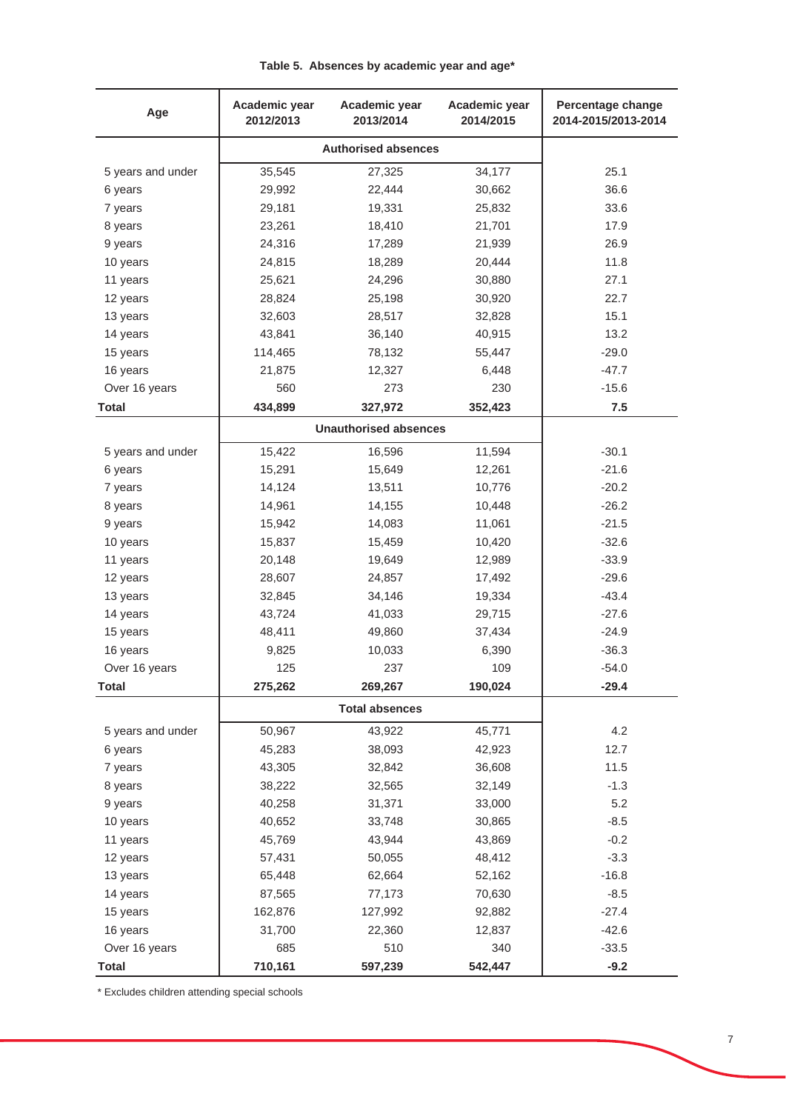| Age               | Academic year<br>2012/2013 | Academic year<br>2013/2014   | Academic year<br>2014/2015 | Percentage change<br>2014-2015/2013-2014 |
|-------------------|----------------------------|------------------------------|----------------------------|------------------------------------------|
|                   | <b>Authorised absences</b> |                              |                            |                                          |
| 5 years and under | 35,545                     | 27,325                       | 34,177                     | 25.1                                     |
| 6 years           | 29,992                     | 22,444                       | 30,662                     | 36.6                                     |
| 7 years           | 29,181                     | 19,331                       | 25,832                     | 33.6                                     |
| 8 years           | 23,261                     | 18,410                       | 21,701                     | 17.9                                     |
| 9 years           | 24,316                     | 17,289                       | 21,939                     | 26.9                                     |
| 10 years          | 24,815                     | 18,289                       | 20,444                     | 11.8                                     |
| 11 years          | 25,621                     | 24,296                       | 30,880                     | 27.1                                     |
| 12 years          | 28,824                     | 25,198                       | 30,920                     | 22.7                                     |
| 13 years          | 32,603                     | 28,517                       | 32,828                     | 15.1                                     |
| 14 years          | 43,841                     | 36,140                       | 40,915                     | 13.2                                     |
| 15 years          | 114,465                    | 78,132                       | 55,447                     | $-29.0$                                  |
| 16 years          | 21,875                     | 12,327                       | 6,448                      | $-47.7$                                  |
| Over 16 years     | 560                        | 273                          | 230                        | $-15.6$                                  |
| <b>Total</b>      | 434,899                    | 327,972                      | 352,423                    | 7.5                                      |
|                   |                            | <b>Unauthorised absences</b> |                            |                                          |
| 5 years and under | 15,422                     | 16,596                       | 11,594                     | $-30.1$                                  |
| 6 years           | 15,291                     | 15,649                       | 12,261                     | $-21.6$                                  |
| 7 years           | 14,124                     | 13,511                       | 10,776                     | $-20.2$                                  |
| 8 years           | 14,961                     | 14,155                       | 10,448                     | $-26.2$                                  |
| 9 years           | 15,942                     | 14,083                       | 11,061                     | $-21.5$                                  |
| 10 years          | 15,837                     | 15,459                       | 10,420                     | $-32.6$                                  |
| 11 years          | 20,148                     | 19,649                       | 12,989                     | $-33.9$                                  |
| 12 years          | 28,607                     | 24,857                       | 17,492                     | $-29.6$                                  |
| 13 years          | 32,845                     | 34,146                       | 19,334                     | $-43.4$                                  |
| 14 years          | 43,724                     | 41,033                       | 29,715                     | $-27.6$                                  |
| 15 years          | 48,411                     | 49,860                       | 37,434                     | $-24.9$                                  |
| 16 years          | 9,825                      | 10,033                       | 6,390                      | $-36.3$                                  |
| Over 16 years     | 125                        | 237                          | 109                        | $-54.0$                                  |
| <b>Total</b>      | 275,262                    | 269,267                      | 190,024                    | $-29.4$                                  |
|                   |                            | <b>Total absences</b>        |                            |                                          |
| 5 years and under | 50,967                     | 43,922                       | 45,771                     | 4.2                                      |
| 6 years           | 45,283                     | 38,093                       | 42,923                     | 12.7                                     |
| 7 years           | 43,305                     | 32,842                       | 36,608                     | 11.5                                     |
| 8 years           | 38,222                     | 32,565                       | 32,149                     | $-1.3$                                   |
| 9 years           | 40,258                     | 31,371                       | 33,000                     | 5.2                                      |
| 10 years          | 40,652                     | 33,748                       | 30,865                     | $-8.5$                                   |
| 11 years          | 45,769                     | 43,944                       | 43,869                     | $-0.2$                                   |
| 12 years          | 57,431                     | 50,055                       | 48,412                     | $-3.3$                                   |
| 13 years          | 65,448                     | 62,664                       | 52,162                     | $-16.8$                                  |
| 14 years          | 87,565                     | 77,173                       | 70,630                     | $-8.5$                                   |
| 15 years          | 162,876                    | 127,992                      | 92,882                     | $-27.4$                                  |
| 16 years          | 31,700                     | 22,360                       | 12,837                     | $-42.6$                                  |
| Over 16 years     | 685                        | 510                          | 340                        | $-33.5$                                  |
| <b>Total</b>      | 710,161                    | 597,239                      | 542,447                    | $-9.2$                                   |

## **Table 5. Absences by academic year and age\***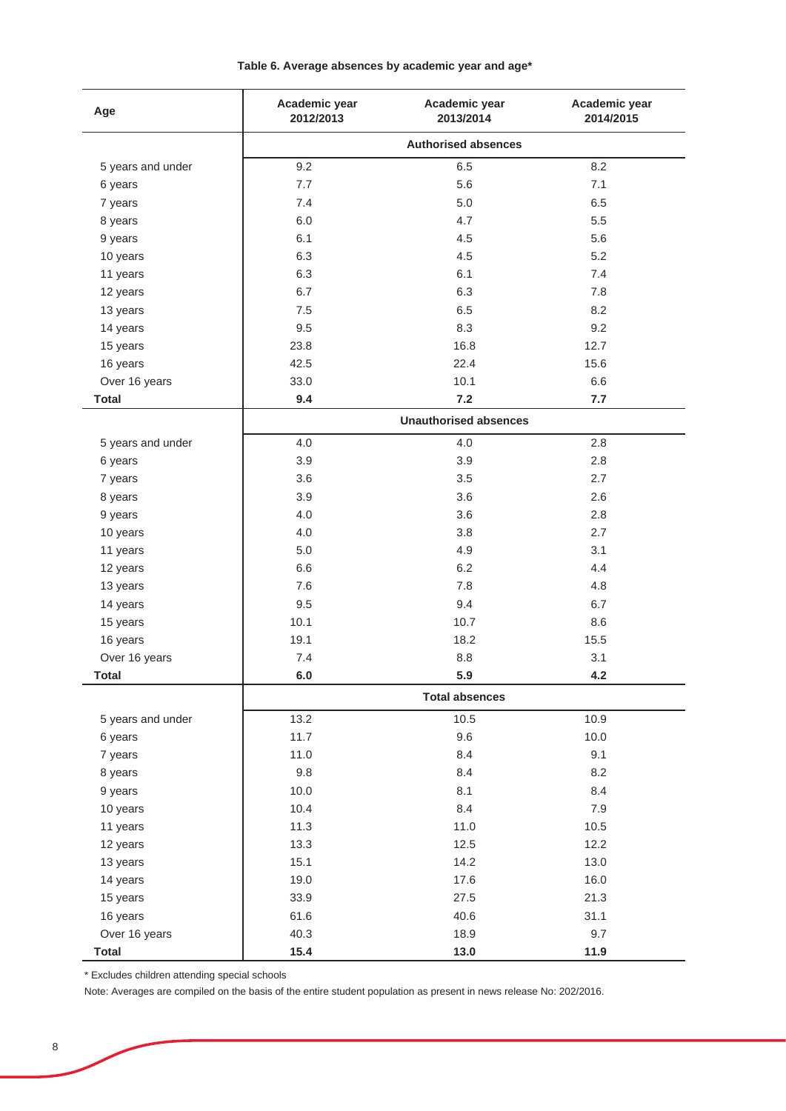| Age               | Academic year<br>2012/2013 | Academic year<br>2013/2014   | Academic year<br>2014/2015 |  |  |
|-------------------|----------------------------|------------------------------|----------------------------|--|--|
|                   | <b>Authorised absences</b> |                              |                            |  |  |
| 5 years and under | 9.2                        | 6.5                          | 8.2                        |  |  |
| 6 years           | 7.7                        | 5.6                          | 7.1                        |  |  |
| 7 years           | 7.4                        | 5.0                          | 6.5                        |  |  |
| 8 years           | 6.0                        | 4.7                          | 5.5                        |  |  |
| 9 years           | 6.1                        | 4.5                          | 5.6                        |  |  |
| 10 years          | 6.3                        | 4.5                          | 5.2                        |  |  |
| 11 years          | 6.3                        | 6.1                          | 7.4                        |  |  |
| 12 years          | 6.7                        | 6.3                          | 7.8                        |  |  |
| 13 years          | 7.5                        | 6.5                          | 8.2                        |  |  |
| 14 years          | 9.5                        | 8.3                          | 9.2                        |  |  |
| 15 years          | 23.8                       | 16.8                         | 12.7                       |  |  |
| 16 years          | 42.5                       | 22.4                         | 15.6                       |  |  |
| Over 16 years     | 33.0                       | 10.1                         | 6.6                        |  |  |
| <b>Total</b>      | 9.4                        | 7.2                          | 7.7                        |  |  |
|                   |                            | <b>Unauthorised absences</b> |                            |  |  |
| 5 years and under | 4.0                        | 4.0                          | $2.8\,$                    |  |  |
| 6 years           | 3.9                        | 3.9                          | 2.8                        |  |  |
| 7 years           | 3.6                        | 3.5                          | 2.7                        |  |  |
| 8 years           | 3.9                        | 3.6                          | 2.6                        |  |  |
| 9 years           | 4.0                        | 3.6                          | 2.8                        |  |  |
| 10 years          | 4.0                        | 3.8                          | 2.7                        |  |  |
| 11 years          | $5.0$                      | 4.9                          | 3.1                        |  |  |
| 12 years          | 6.6                        | 6.2                          | 4.4                        |  |  |
| 13 years          | 7.6                        | 7.8                          | 4.8                        |  |  |
| 14 years          | 9.5                        | 9.4                          | 6.7                        |  |  |
| 15 years          | 10.1                       | 10.7                         | 8.6                        |  |  |
| 16 years          | 19.1                       | 18.2                         | 15.5                       |  |  |
| Over 16 years     | 7.4                        | 8.8                          | 3.1                        |  |  |
| <b>Total</b>      | 6.0                        | 5.9                          | 4.2                        |  |  |
|                   |                            | <b>Total absences</b>        |                            |  |  |
| 5 years and under | 13.2                       | 10.5                         | 10.9                       |  |  |
| 6 years           | 11.7                       | 9.6                          | 10.0                       |  |  |
| 7 years           | 11.0                       | 8.4                          | 9.1                        |  |  |
| 8 years           | 9.8                        | 8.4                          | 8.2                        |  |  |
| 9 years           | 10.0                       | 8.1                          | 8.4                        |  |  |
| 10 years          | 10.4                       | 8.4                          | 7.9                        |  |  |
| 11 years          | 11.3                       | 11.0                         | 10.5                       |  |  |
| 12 years          | 13.3                       | 12.5                         | 12.2                       |  |  |
| 13 years          | 15.1                       | 14.2                         | 13.0                       |  |  |
| 14 years          | 19.0                       | 17.6                         | 16.0                       |  |  |
| 15 years          | 33.9                       | 27.5                         | 21.3                       |  |  |
| 16 years          | 61.6                       | 40.6                         | 31.1                       |  |  |
| Over 16 years     | 40.3                       | 18.9                         | 9.7                        |  |  |
| <b>Total</b>      | 15.4                       | 13.0                         | 11.9                       |  |  |

### **Table 6. Average absences by academic year and age\***

\* Excludes children attending special schools

Note: Averages are compiled on the basis of the entire student population as present in news release No: 202/2016.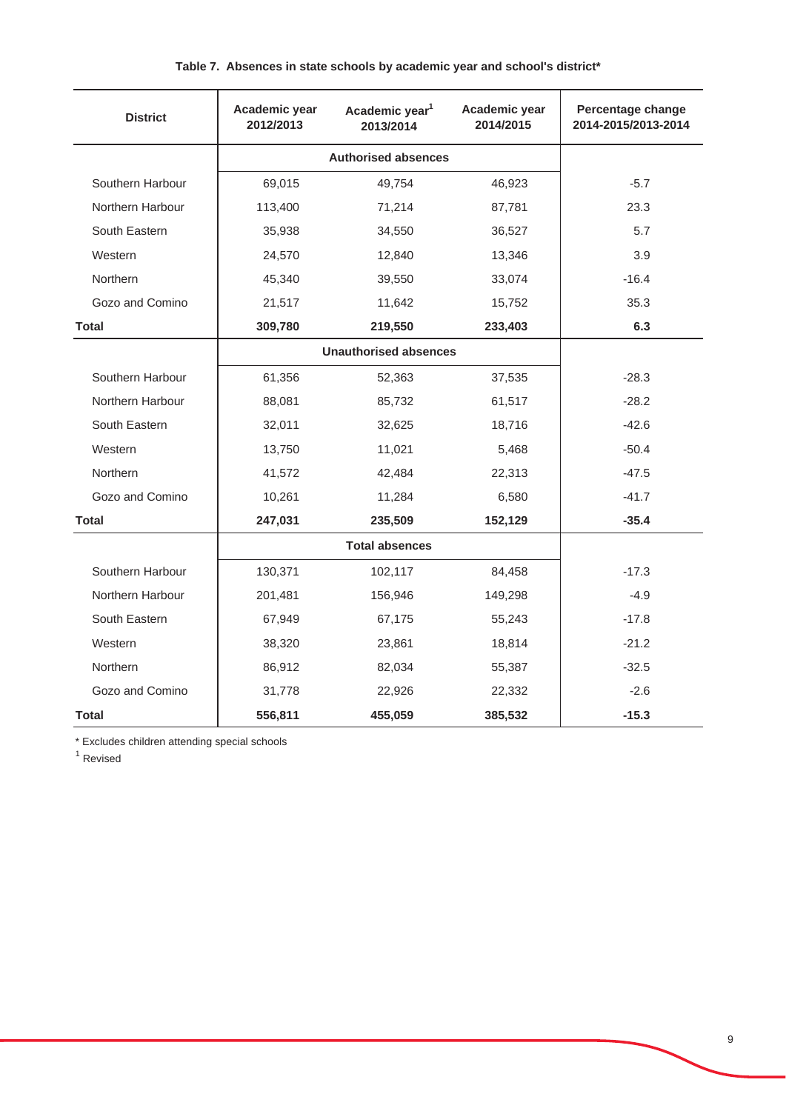| <b>District</b>  | Academic year<br>2012/2013   | Academic year <sup>1</sup><br>2013/2014 | Academic year<br>2014/2015 | Percentage change<br>2014-2015/2013-2014 |
|------------------|------------------------------|-----------------------------------------|----------------------------|------------------------------------------|
|                  | <b>Authorised absences</b>   |                                         |                            |                                          |
| Southern Harbour | 69,015                       | 49,754                                  | 46,923                     | $-5.7$                                   |
| Northern Harbour | 113,400                      | 71,214                                  | 87,781                     | 23.3                                     |
| South Eastern    | 35,938                       | 34,550                                  | 36,527                     | 5.7                                      |
| Western          | 24,570                       | 12,840                                  | 13,346                     | 3.9                                      |
| Northern         | 45,340                       | 39,550                                  | 33,074                     | $-16.4$                                  |
| Gozo and Comino  | 21,517                       | 11,642                                  | 15,752                     | 35.3                                     |
| Total            | 309,780                      | 219,550                                 | 233,403                    | 6.3                                      |
|                  | <b>Unauthorised absences</b> |                                         |                            |                                          |
| Southern Harbour | 61,356                       | 52,363                                  | 37,535                     | $-28.3$                                  |
| Northern Harbour | 88,081                       | 85,732                                  | 61,517                     | $-28.2$                                  |
| South Eastern    | 32,011                       | 32,625                                  | 18,716                     | $-42.6$                                  |
| Western          | 13,750                       | 11,021                                  | 5,468                      | $-50.4$                                  |
| Northern         | 41,572                       | 42,484                                  | 22,313                     | $-47.5$                                  |
| Gozo and Comino  | 10,261                       | 11,284                                  | 6,580                      | $-41.7$                                  |
| <b>Total</b>     | 247,031                      | 235,509                                 | 152,129                    | $-35.4$                                  |
|                  | <b>Total absences</b>        |                                         |                            |                                          |
| Southern Harbour | 130,371                      | 102,117                                 | 84,458                     | $-17.3$                                  |
| Northern Harbour | 201,481                      | 156,946                                 | 149,298                    | $-4.9$                                   |
| South Eastern    | 67,949                       | 67,175                                  | 55,243                     | $-17.8$                                  |
| Western          | 38,320                       | 23,861                                  | 18,814                     | $-21.2$                                  |
| Northern         | 86,912                       | 82,034                                  | 55,387                     | $-32.5$                                  |
| Gozo and Comino  | 31,778                       | 22,926                                  | 22,332                     | $-2.6$                                   |
| Total            | 556,811                      | 455,059                                 | 385,532                    | $-15.3$                                  |

## **Table 7. Absences in state schools by academic year and school's district\***

\* Excludes children attending special schools

<sup>1</sup> Revised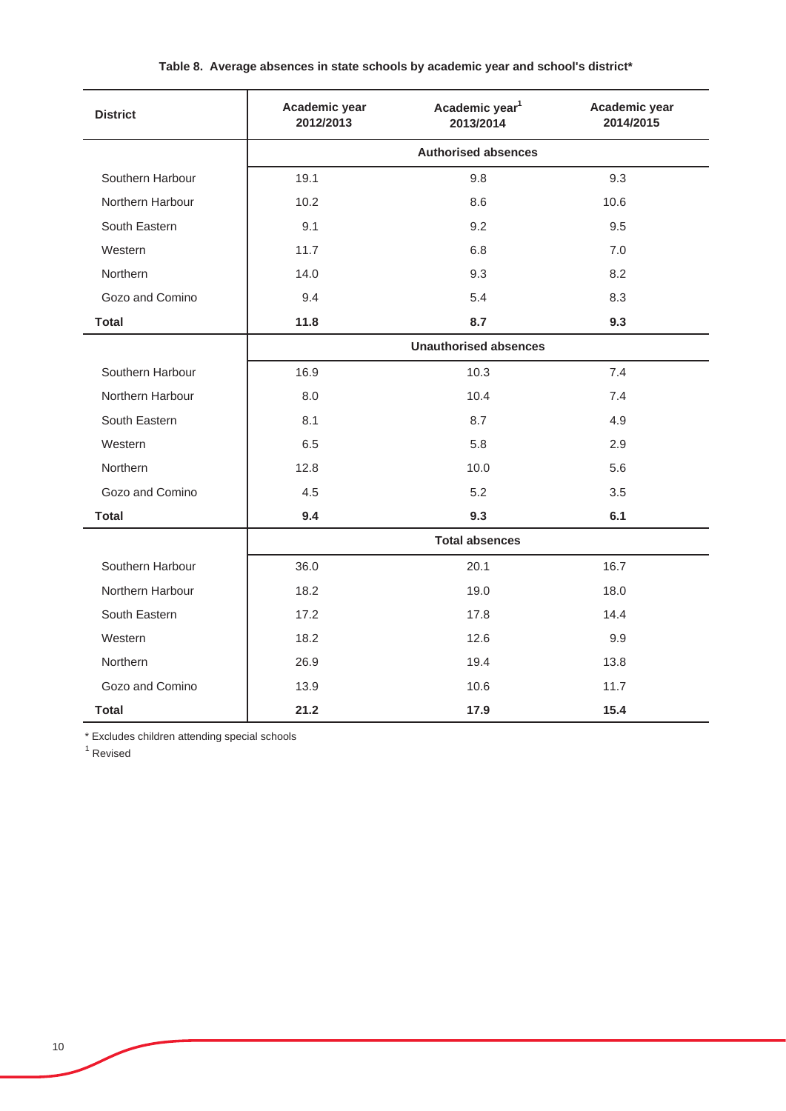## **Table 8. Average absences in state schools by academic year and school's district\***

| <b>District</b>  | Academic year<br>2012/2013   | Academic year <sup>1</sup><br>2013/2014 | Academic year<br>2014/2015 |  |  |
|------------------|------------------------------|-----------------------------------------|----------------------------|--|--|
|                  | <b>Authorised absences</b>   |                                         |                            |  |  |
| Southern Harbour | 19.1                         | 9.8                                     | 9.3                        |  |  |
| Northern Harbour | 10.2                         | 8.6                                     | 10.6                       |  |  |
| South Eastern    | 9.1                          | 9.2                                     | 9.5                        |  |  |
| Western          | 11.7                         | 6.8                                     | 7.0                        |  |  |
| Northern         | 14.0                         | 9.3                                     | 8.2                        |  |  |
| Gozo and Comino  | 9.4                          | 5.4                                     | 8.3                        |  |  |
| <b>Total</b>     | 11.8                         | 8.7                                     | 9.3                        |  |  |
|                  | <b>Unauthorised absences</b> |                                         |                            |  |  |
| Southern Harbour | 16.9                         | 10.3                                    | 7.4                        |  |  |
| Northern Harbour | 8.0                          | 10.4                                    | 7.4                        |  |  |
| South Eastern    | 8.1                          | 8.7                                     | 4.9                        |  |  |
| Western          | 6.5                          | 5.8                                     | 2.9                        |  |  |
| Northern         | 12.8                         | 10.0                                    | 5.6                        |  |  |
| Gozo and Comino  | 4.5                          | 5.2                                     | 3.5                        |  |  |
| <b>Total</b>     | 9.4                          | 9.3                                     | 6.1                        |  |  |
|                  | <b>Total absences</b>        |                                         |                            |  |  |
| Southern Harbour | 36.0                         | 20.1                                    | 16.7                       |  |  |
| Northern Harbour | 18.2                         | 19.0                                    | 18.0                       |  |  |
| South Eastern    | 17.2                         | 17.8                                    | 14.4                       |  |  |
| Western          | 18.2                         | 12.6                                    | 9.9                        |  |  |
| Northern         | 26.9                         | 19.4                                    | 13.8                       |  |  |
| Gozo and Comino  | 13.9                         | 10.6                                    | 11.7                       |  |  |
| <b>Total</b>     | 21.2                         | 17.9                                    | 15.4                       |  |  |

\* Excludes children attending special schools

<sup>1</sup> Revised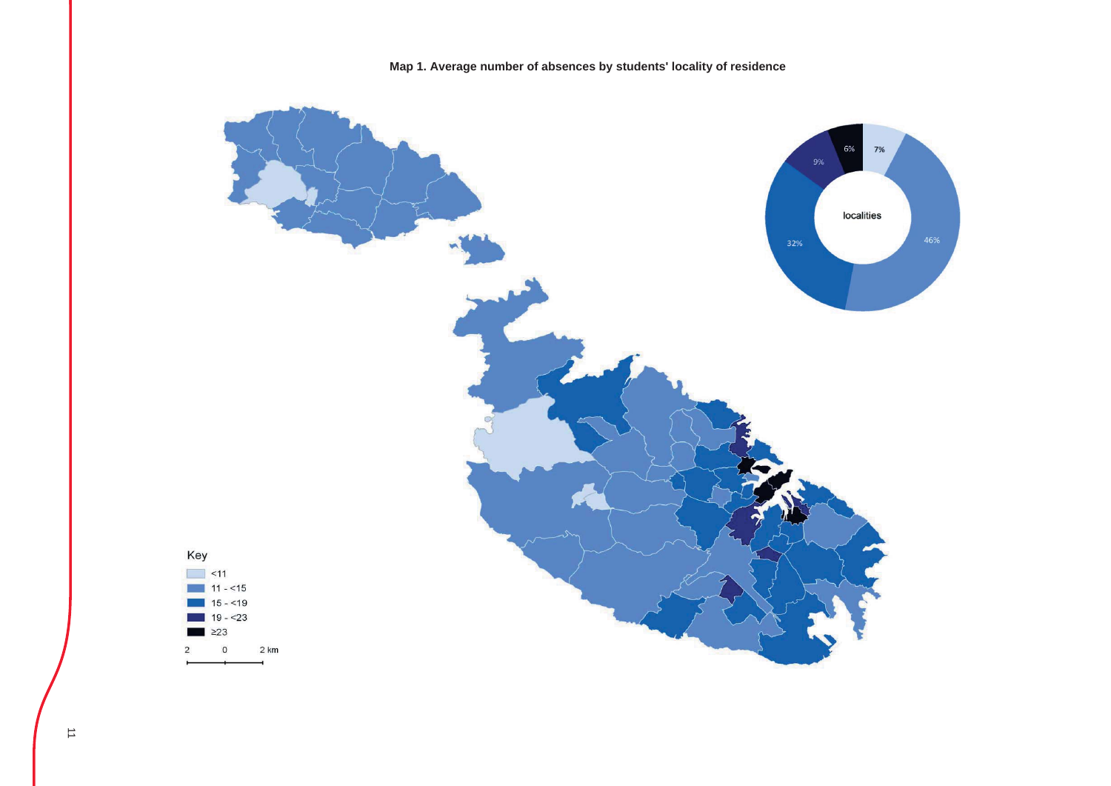

## **Map 1. Average number of absences by students' locality of residence**